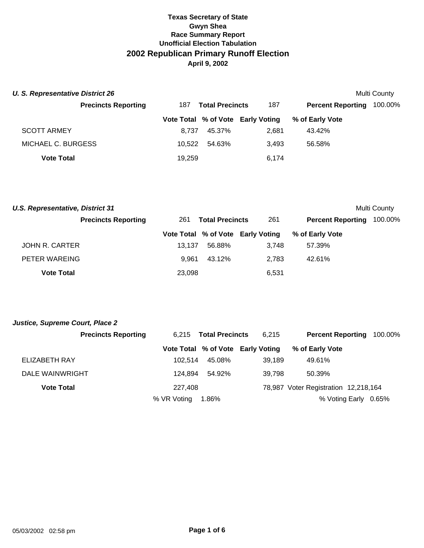| U. S. Representative District 26 |        |                        |                                   |                          | Multi County |
|----------------------------------|--------|------------------------|-----------------------------------|--------------------------|--------------|
| <b>Precincts Reporting</b>       | 187    | <b>Total Precincts</b> | 187                               | <b>Percent Reporting</b> | 100.00%      |
|                                  |        |                        | Vote Total % of Vote Early Voting | % of Early Vote          |              |
| <b>SCOTT ARMEY</b>               | 8.737  | 45.37%                 | 2.681                             | 43.42%                   |              |
| MICHAEL C. BURGESS               | 10.522 | 54.63%                 | 3.493                             | 56.58%                   |              |
| <b>Vote Total</b>                | 19,259 |                        | 6,174                             |                          |              |

| <b>U.S. Representative, District 31</b> |                            |        |                        |                                   |                          | Multi County |
|-----------------------------------------|----------------------------|--------|------------------------|-----------------------------------|--------------------------|--------------|
|                                         | <b>Precincts Reporting</b> | 261    | <b>Total Precincts</b> | 261                               | <b>Percent Reporting</b> | 100.00%      |
|                                         |                            |        |                        | Vote Total % of Vote Early Voting | % of Early Vote          |              |
| <b>JOHN R. CARTER</b>                   |                            | 13.137 | 56.88%                 | 3.748                             | 57.39%                   |              |
| PETER WAREING                           |                            | 9.961  | 43.12%                 | 2.783                             | 42.61%                   |              |
| <b>Vote Total</b>                       |                            | 23.098 |                        | 6,531                             |                          |              |

| Justice, Supreme Court, Place 2 |  |
|---------------------------------|--|
|---------------------------------|--|

| <b>Precincts Reporting</b> |             | 6.215 Total Precincts | 6.215                             | <b>Percent Reporting 100.00%</b>     |  |
|----------------------------|-------------|-----------------------|-----------------------------------|--------------------------------------|--|
|                            |             |                       | Vote Total % of Vote Early Voting | % of Early Vote                      |  |
| ELIZABETH RAY              | 102.514     | 45.08%                | 39.189                            | 49.61%                               |  |
| DALE WAINWRIGHT            | 124.894     | 54.92%                | 39.798                            | 50.39%                               |  |
| <b>Vote Total</b>          | 227,408     |                       |                                   | 78,987 Voter Registration 12,218,164 |  |
|                            | % VR Voting | 1.86%                 |                                   | % Voting Early 0.65%                 |  |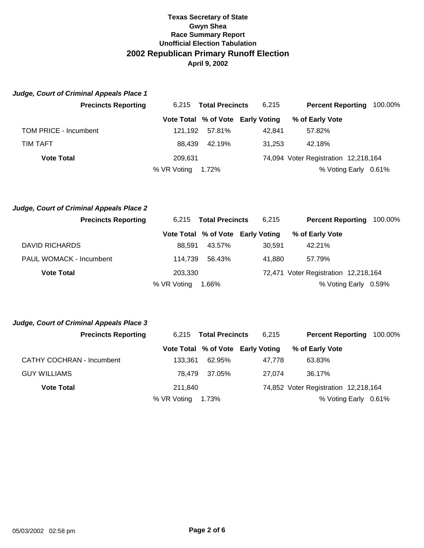| Judge, Court of Criminal Appeals Place 1 |             |                        |                                   |                                      |                      |
|------------------------------------------|-------------|------------------------|-----------------------------------|--------------------------------------|----------------------|
| <b>Precincts Reporting</b>               | 6.215       | <b>Total Precincts</b> | 6.215                             | <b>Percent Reporting</b>             | 100.00%              |
|                                          |             |                        | Vote Total % of Vote Early Voting | % of Early Vote                      |                      |
| TOM PRICE - Incumbent                    | 121.192     | 57.81%                 | 42.841                            | 57.82%                               |                      |
| TIM TAFT                                 | 88.439      | 42.19%                 | 31.253                            | 42.18%                               |                      |
| <b>Vote Total</b>                        | 209.631     |                        |                                   | 74,094 Voter Registration 12,218,164 |                      |
|                                          | % VR Voting | 1.72%                  |                                   |                                      | % Voting Early 0.61% |

| Judge, Court of Criminal Appeals Place 2 |             |                        |                                   |                                      |                      |
|------------------------------------------|-------------|------------------------|-----------------------------------|--------------------------------------|----------------------|
| <b>Precincts Reporting</b>               | 6.215       | <b>Total Precincts</b> | 6.215                             | <b>Percent Reporting</b>             | 100.00%              |
|                                          |             |                        | Vote Total % of Vote Early Voting | % of Early Vote                      |                      |
| DAVID RICHARDS                           | 88.591      | 43.57%                 | 30.591                            | 42.21%                               |                      |
| PAUL WOMACK - Incumbent                  | 114.739     | 56.43%                 | 41.880                            | 57.79%                               |                      |
| <b>Vote Total</b>                        | 203.330     |                        |                                   | 72,471 Voter Registration 12,218,164 |                      |
|                                          | % VR Voting | 1.66%                  |                                   |                                      | % Voting Early 0.59% |

| <b>Precincts Reporting</b>       |             | 6,215 Total Precincts | 6,215                             | <b>Percent Reporting</b>             | 100.00% |
|----------------------------------|-------------|-----------------------|-----------------------------------|--------------------------------------|---------|
|                                  |             |                       | Vote Total % of Vote Early Voting | % of Early Vote                      |         |
| <b>CATHY COCHRAN - Incumbent</b> | 133.361     | 62.95%                | 47.778                            | 63.83%                               |         |
| <b>GUY WILLIAMS</b>              | 78.479      | 37.05%                | 27.074                            | 36.17%                               |         |
| <b>Vote Total</b>                | 211.840     |                       |                                   | 74,852 Voter Registration 12,218,164 |         |
|                                  | % VR Voting | 1.73%                 |                                   | % Voting Early 0.61%                 |         |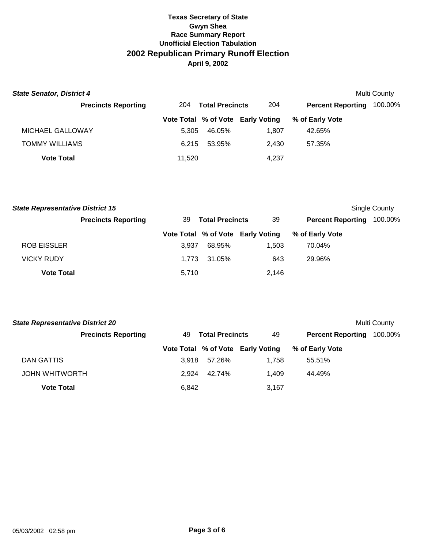| <b>State Senator, District 4</b><br>Multi County |        |                        |                                   |                          |         |  |  |
|--------------------------------------------------|--------|------------------------|-----------------------------------|--------------------------|---------|--|--|
| <b>Precincts Reporting</b>                       | 204    | <b>Total Precincts</b> | 204                               | <b>Percent Reporting</b> | 100.00% |  |  |
|                                                  |        |                        | Vote Total % of Vote Early Voting | % of Early Vote          |         |  |  |
| MICHAEL GALLOWAY                                 | 5.305  | 46.05%                 | 1.807                             | 42.65%                   |         |  |  |
| <b>TOMMY WILLIAMS</b>                            | 6.215  | 53.95%                 | 2.430                             | 57.35%                   |         |  |  |
| <b>Vote Total</b>                                | 11,520 |                        | 4,237                             |                          |         |  |  |

| <b>State Representative District 15</b> |                            |                              |        |                                   |                          | Single County |  |
|-----------------------------------------|----------------------------|------------------------------|--------|-----------------------------------|--------------------------|---------------|--|
|                                         | <b>Precincts Reporting</b> | <b>Total Precincts</b><br>39 |        | 39                                | <b>Percent Reporting</b> | 100.00%       |  |
|                                         |                            |                              |        | Vote Total % of Vote Early Voting | % of Early Vote          |               |  |
| <b>ROB EISSLER</b>                      |                            | 3.937                        | 68.95% | 1.503                             | 70.04%                   |               |  |
| <b>VICKY RUDY</b>                       |                            | 1.773                        | 31.05% | 643                               | 29.96%                   |               |  |
| <b>Vote Total</b>                       |                            | 5.710                        |        | 2.146                             |                          |               |  |

| <b>State Representative District 20</b><br>Multi County |       |                        |                                   |                          |         |  |  |
|---------------------------------------------------------|-------|------------------------|-----------------------------------|--------------------------|---------|--|--|
| <b>Precincts Reporting</b>                              | 49.   | <b>Total Precincts</b> | 49                                | <b>Percent Reporting</b> | 100.00% |  |  |
|                                                         |       |                        | Vote Total % of Vote Early Voting | % of Early Vote          |         |  |  |
| DAN GATTIS                                              | 3.918 | 57.26%                 | 1.758                             | 55.51%                   |         |  |  |
| <b>JOHN WHITWORTH</b>                                   | 2.924 | 42.74%                 | 1.409                             | 44.49%                   |         |  |  |
| <b>Vote Total</b>                                       | 6,842 |                        | 3,167                             |                          |         |  |  |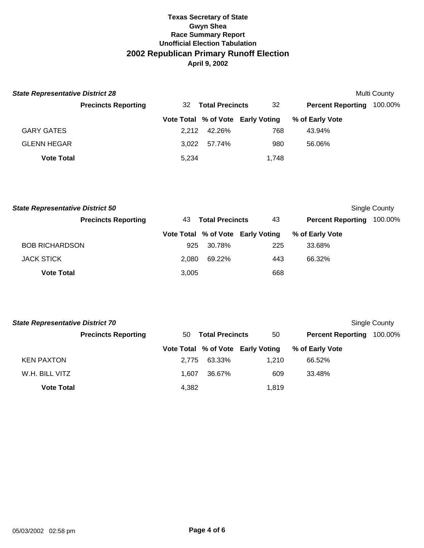| <b>State Representative District 28</b> |                            |       |                        |                                   |                          | <b>Multi County</b> |
|-----------------------------------------|----------------------------|-------|------------------------|-----------------------------------|--------------------------|---------------------|
|                                         | <b>Precincts Reporting</b> | 32.   | <b>Total Precincts</b> | 32                                | <b>Percent Reporting</b> | 100.00%             |
|                                         |                            |       |                        | Vote Total % of Vote Early Voting | % of Early Vote          |                     |
| <b>GARY GATES</b>                       |                            | 2.212 | 42.26%                 | 768                               | 43.94%                   |                     |
| <b>GLENN HEGAR</b>                      |                            | 3.022 | 57.74%                 | 980                               | 56.06%                   |                     |
| <b>Vote Total</b>                       |                            | 5,234 |                        | 1,748                             |                          |                     |

| <b>State Representative District 50</b><br>Single County |                            |                               |        |                                   |                          |         |
|----------------------------------------------------------|----------------------------|-------------------------------|--------|-----------------------------------|--------------------------|---------|
|                                                          | <b>Precincts Reporting</b> | <b>Total Precincts</b><br>43. |        | 43                                | <b>Percent Reporting</b> | 100.00% |
|                                                          |                            |                               |        | Vote Total % of Vote Early Voting | % of Early Vote          |         |
| <b>BOB RICHARDSON</b>                                    |                            | 925                           | 30.78% | 225                               | 33.68%                   |         |
| <b>JACK STICK</b>                                        |                            | 2.080                         | 69.22% | 443                               | 66.32%                   |         |
| <b>Vote Total</b>                                        |                            | 3,005                         |        | 668                               |                          |         |

| <b>State Representative District 70</b><br>Single County |                            |       |                        |                                   |                          |         |
|----------------------------------------------------------|----------------------------|-------|------------------------|-----------------------------------|--------------------------|---------|
|                                                          | <b>Precincts Reporting</b> | 50    | <b>Total Precincts</b> | 50                                | <b>Percent Reporting</b> | 100.00% |
|                                                          |                            |       |                        | Vote Total % of Vote Early Voting | % of Early Vote          |         |
| <b>KEN PAXTON</b>                                        |                            | 2.775 | 63.33%                 | 1.210                             | 66.52%                   |         |
| W.H. BILL VITZ                                           |                            | 1.607 | 36.67%                 | 609                               | 33.48%                   |         |
| <b>Vote Total</b>                                        |                            | 4,382 |                        | 1,819                             |                          |         |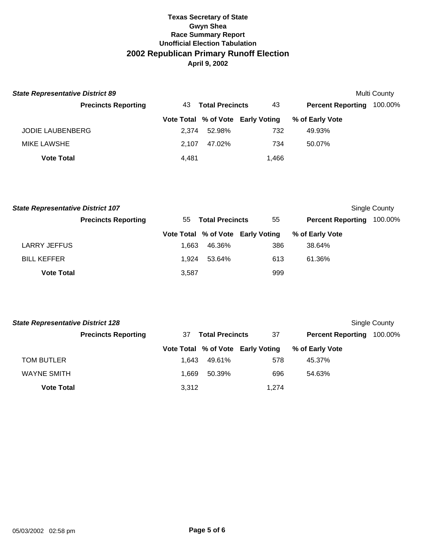| <b>State Representative District 89</b><br><b>Multi County</b> |       |                        |                                   |                          |         |  |  |  |
|----------------------------------------------------------------|-------|------------------------|-----------------------------------|--------------------------|---------|--|--|--|
| <b>Precincts Reporting</b>                                     | 43.   | <b>Total Precincts</b> | 43                                | <b>Percent Reporting</b> | 100.00% |  |  |  |
|                                                                |       |                        | Vote Total % of Vote Early Voting | % of Early Vote          |         |  |  |  |
| <b>JODIE LAUBENBERG</b>                                        | 2.374 | 52.98%                 | 732                               | 49.93%                   |         |  |  |  |
| <b>MIKE LAWSHE</b>                                             | 2.107 | 47.02%                 | 734                               | 50.07%                   |         |  |  |  |
| <b>Vote Total</b>                                              | 4,481 |                        | 1,466                             |                          |         |  |  |  |

| <b>State Representative District 107</b> |                            |       |                        |                                   |                          | Single County |  |
|------------------------------------------|----------------------------|-------|------------------------|-----------------------------------|--------------------------|---------------|--|
|                                          | <b>Precincts Reporting</b> | 55    | <b>Total Precincts</b> | 55                                | <b>Percent Reporting</b> | 100.00%       |  |
|                                          |                            |       |                        | Vote Total % of Vote Early Voting | % of Early Vote          |               |  |
| <b>LARRY JEFFUS</b>                      |                            | 1.663 | 46.36%                 | 386                               | 38.64%                   |               |  |
| <b>BILL KEFFER</b>                       |                            | 1.924 | 53.64%                 | 613                               | 61.36%                   |               |  |
| <b>Vote Total</b>                        |                            | 3,587 |                        | 999                               |                          |               |  |

| <b>State Representative District 128</b> |                            |       |                        |                                   |                          |         |
|------------------------------------------|----------------------------|-------|------------------------|-----------------------------------|--------------------------|---------|
|                                          | <b>Precincts Reporting</b> | 37    | <b>Total Precincts</b> | 37                                | <b>Percent Reporting</b> | 100.00% |
|                                          |                            |       |                        | Vote Total % of Vote Early Voting | % of Early Vote          |         |
| <b>TOM BUTLER</b>                        |                            | 1.643 | 49.61%                 | 578                               | 45.37%                   |         |
| <b>WAYNE SMITH</b>                       |                            | 1.669 | 50.39%                 | 696                               | 54.63%                   |         |
| <b>Vote Total</b>                        |                            | 3,312 |                        | 1,274                             |                          |         |